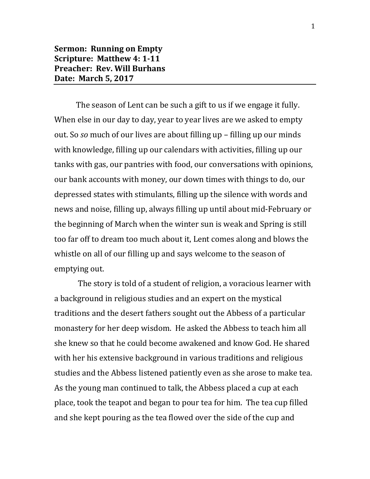## **Sermon: Running on Empty Scripture: Matthew 4: 1-11 Preacher: Rev. Will Burhans Date: March 5, 2017**

The season of Lent can be such a gift to us if we engage it fully. When else in our day to day, year to year lives are we asked to empty out. So *so* much of our lives are about filling up – filling up our minds with knowledge, filling up our calendars with activities, filling up our tanks with gas, our pantries with food, our conversations with opinions, our bank accounts with money, our down times with things to do, our depressed states with stimulants, filling up the silence with words and news and noise, filling up, always filling up until about mid-February or the beginning of March when the winter sun is weak and Spring is still too far off to dream too much about it, Lent comes along and blows the whistle on all of our filling up and says welcome to the season of emptying out.

The story is told of a student of religion, a voracious learner with a background in religious studies and an expert on the mystical traditions and the desert fathers sought out the Abbess of a particular monastery for her deep wisdom. He asked the Abbess to teach him all she knew so that he could become awakened and know God. He shared with her his extensive background in various traditions and religious studies and the Abbess listened patiently even as she arose to make tea. As the young man continued to talk, the Abbess placed a cup at each place, took the teapot and began to pour tea for him. The tea cup filled and she kept pouring as the tea flowed over the side of the cup and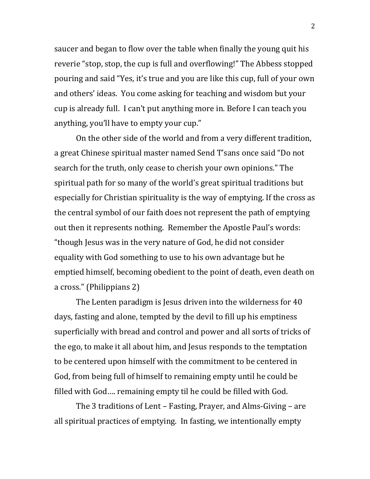saucer and began to flow over the table when finally the young quit his reverie "stop, stop, the cup is full and overflowing!" The Abbess stopped pouring and said "Yes, it's true and you are like this cup, full of your own and others' ideas. You come asking for teaching and wisdom but your cup is already full. I can't put anything more in. Before I can teach you anything, you'll have to empty your cup."

On the other side of the world and from a very different tradition, a great Chinese spiritual master named Send T'sans once said "Do not search for the truth, only cease to cherish your own opinions." The spiritual path for so many of the world's great spiritual traditions but especially for Christian spirituality is the way of emptying. If the cross as the central symbol of our faith does not represent the path of emptying out then it represents nothing. Remember the Apostle Paul's words: "though Jesus was in the very nature of God, he did not consider equality with God something to use to his own advantage but he emptied himself, becoming obedient to the point of death, even death on a cross." (Philippians 2)

The Lenten paradigm is Jesus driven into the wilderness for 40 days, fasting and alone, tempted by the devil to fill up his emptiness superficially with bread and control and power and all sorts of tricks of the ego, to make it all about him, and Jesus responds to the temptation to be centered upon himself with the commitment to be centered in God, from being full of himself to remaining empty until he could be filled with God…. remaining empty til he could be filled with God.

The 3 traditions of Lent – Fasting, Prayer, and Alms-Giving – are all spiritual practices of emptying. In fasting, we intentionally empty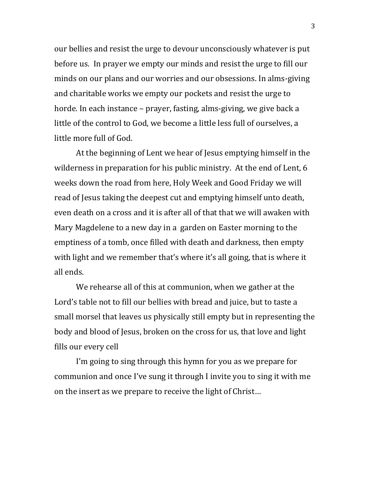our bellies and resist the urge to devour unconsciously whatever is put before us. In prayer we empty our minds and resist the urge to fill our minds on our plans and our worries and our obsessions. In alms-giving and charitable works we empty our pockets and resist the urge to horde. In each instance – prayer, fasting, alms-giving, we give back a little of the control to God, we become a little less full of ourselves, a little more full of God.

At the beginning of Lent we hear of Jesus emptying himself in the wilderness in preparation for his public ministry. At the end of Lent, 6 weeks down the road from here, Holy Week and Good Friday we will read of Jesus taking the deepest cut and emptying himself unto death, even death on a cross and it is after all of that that we will awaken with Mary Magdelene to a new day in a garden on Easter morning to the emptiness of a tomb, once filled with death and darkness, then empty with light and we remember that's where it's all going, that is where it all ends.

We rehearse all of this at communion, when we gather at the Lord's table not to fill our bellies with bread and juice, but to taste a small morsel that leaves us physically still empty but in representing the body and blood of Jesus, broken on the cross for us, that love and light fills our every cell

I'm going to sing through this hymn for you as we prepare for communion and once I've sung it through I invite you to sing it with me on the insert as we prepare to receive the light of Christ…